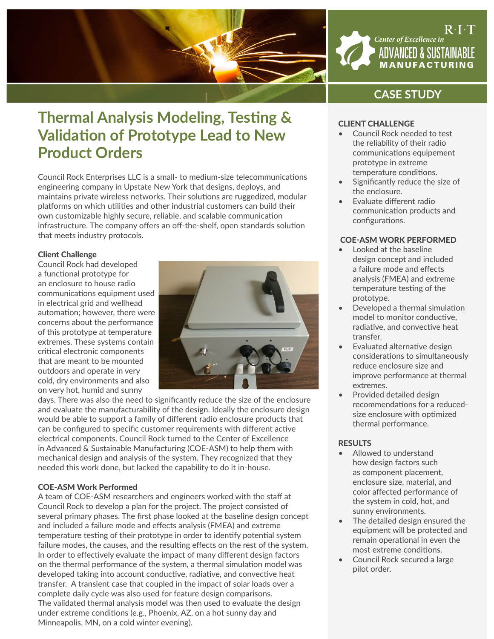

## $\mathsf{R}\cdot\mathsf{I}\cdot\mathsf{T}$ *Center of Excellence in* ADVANCED & SUSTAINABLE MANUFACTURING

# **CASE STUDY**

# **Thermal Analysis Modeling, Testing & Validation of Prototype Lead to New Product Orders**

Council Rock Enterprises LLC is a small- to medium-size telecommunications engineering company in Upstate New York that designs, deploys, and maintains private wireless networks. Their solutions are ruggedized, modular platforms on which utilities and other industrial customers can build their own customizable highly secure, reliable, and scalable communication infrastructure. The company offers an off-the-shelf, open standards solution that meets industry protocols.

### Client Challenge

Council Rock had developed a functional prototype for an enclosure to house radio communications equipment used in electrical grid and wellhead automation; however, there were concerns about the performance of this prototype at temperature extremes. These systems contain critical electronic components that are meant to be mounted outdoors and operate in very cold, dry environments and also on very hot, humid and sunny



days. There was also the need to significantly reduce the size of the enclosure and evaluate the manufacturability of the design. Ideally the enclosure design would be able to support a family of different radio enclosure products that can be configured to specific customer requirements with different active electrical components. Council Rock turned to the Center of Excellence in Advanced & Sustainable Manufacturing (COE-ASM) to help them with mechanical design and analysis of the system. They recognized that they needed this work done, but lacked the capability to do it in-house.

### COE-ASM Work Performed

A team of COE-ASM researchers and engineers worked with the staff at Council Rock to develop a plan for the project. The project consisted of several primary phases. The first phase looked at the baseline design concept and included a failure mode and effects analysis (FMEA) and extreme temperature testing of their prototype in order to identify potential system failure modes, the causes, and the resulting effects on the rest of the system. In order to effectively evaluate the impact of many different design factors on the thermal performance of the system, a thermal simulation model was developed taking into account conductive, radiative, and convective heat transfer. A transient case that coupled in the impact of solar loads over a complete daily cycle was also used for feature design comparisons. The validated thermal analysis model was then used to evaluate the design under extreme conditions (e.g., Phoenix, AZ, on a hot sunny day and Minneapolis, MN, on a cold winter evening).

## CLIENT CHALLENGE

- Council Rock needed to test the reliability of their radio communications equipement prototype in extreme temperature conditions.
- Significantly reduce the size of the enclosure.
- Evaluate different radio communication products and configurations.

## COE-ASM WORK PERFORMED

- Looked at the baseline design concept and included a failure mode and effects analysis (FMEA) and extreme temperature testing of the prototype.
- Developed a thermal simulation model to monitor conductive, radiative, and convective heat transfer.
- Evaluated alternative design considerations to simultaneously reduce enclosure size and improve performance at thermal extremes.
- Provided detailed design recommendations for a reducedsize enclosure with optimized thermal performance.

### **RESULTS**

- Allowed to understand how design factors such as component placement, enclosure size, material, and color affected performance of the system in cold, hot, and sunny environments.
- The detailed design ensured the equipment will be protected and remain operational in even the most extreme conditions.
- Council Rock secured a large pilot order.